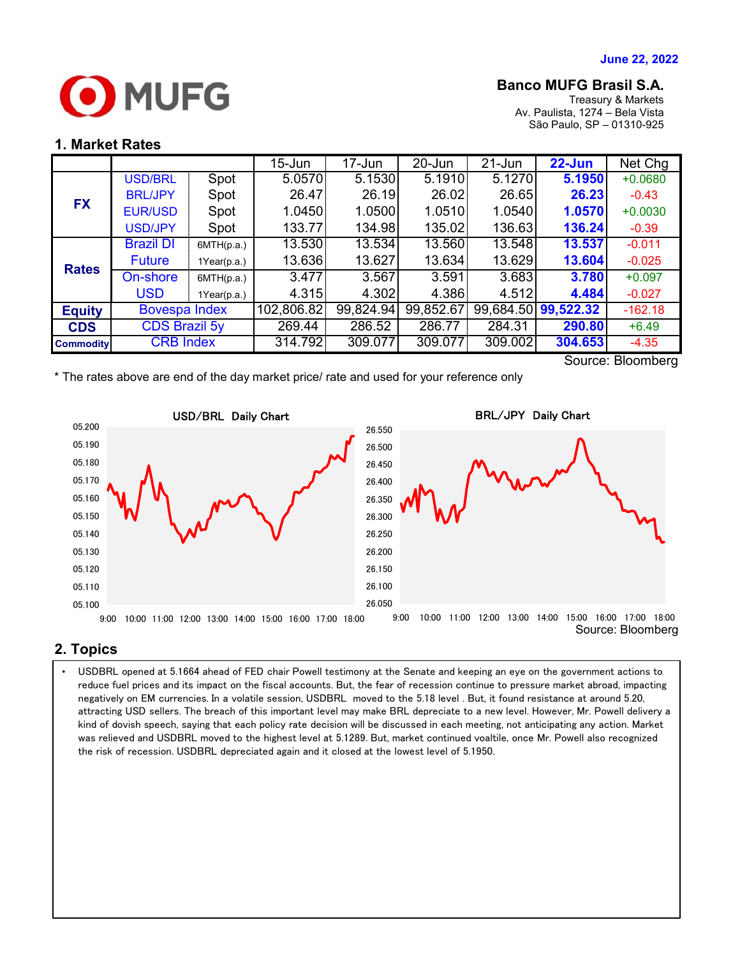

## **Banco MUFG Brasil S.A.**

Treasury & Markets Av. Paulista, 1274 – Bela Vista São Paulo, SP – 01310-925

### **1. Market Rates**

|                   |                      |             | $15 - Jun$ | $17 - Jun$ | 20-Jun    | $21 - Jun$ | $22$ -Jun           | Net Chg   |
|-------------------|----------------------|-------------|------------|------------|-----------|------------|---------------------|-----------|
| <b>FX</b>         | <b>USD/BRL</b>       | Spot        | 5.0570     | 5.1530     | 5.1910    | 5.1270     | 5.1950              | $+0.0680$ |
|                   | <b>BRL/JPY</b>       | Spot        | 26.47      | 26.19      | 26.02     | 26.65      | 26.23               | $-0.43$   |
|                   | <b>EUR/USD</b>       | Spot        | 1.0450     | 1.0500     | 1.0510    | 1.0540     | 1.0570              | $+0.0030$ |
|                   | <b>USD/JPY</b>       | Spot        | 133.77     | 134.98     | 135.02    | 136.63     | 136.24              | $-0.39$   |
| <b>Rates</b>      | <b>Brazil DI</b>     | 6MTH(p.a.)  | 13.530     | 13.534     | 13.560    | 13.548     | 13.537              | $-0.011$  |
|                   | <b>Future</b>        | 1Year(p.a.) | 13.636     | 13.627     | 13.634    | 13.629     | 13.604              | $-0.025$  |
|                   | On-shore             | 6MTH(p.a.)  | 3.477      | 3.567      | 3.591     | 3.683      | 3.780               | $+0.097$  |
|                   | <b>USD</b>           | 1Year(p.a.) | 4.315      | 4.302      | 4.386     | 4.512      | 4.484               | $-0.027$  |
| <b>Equity</b>     | <b>Bovespa Index</b> |             | 102,806.82 | 99,824.94  | 99,852.67 |            | 99,684.50 99,522.32 | $-162.18$ |
| <b>CDS</b>        | <b>CDS Brazil 5y</b> |             | 269.44     | 286.52     | 286.77    | 284.31     | 290.80              | $+6.49$   |
| <b>Commodity</b>  | <b>CRB Index</b>     |             | 314.792    | 309.077    | 309.077   | 309.002    | 304.653             | $-4.35$   |
| Course: Dloomborg |                      |             |            |            |           |            |                     |           |

Source: Bloomberg

\* The rates above are end of the day market price/ rate and used for your reference only



# **2. Topics**

attracting USD sellers. The breach of this important level may make BRL depreciate to a new level. However, Mr. Powell delivery a  $\; \; | \;$ • USDBRL opened at 5.1664 ahead of FED chair Powell testimony at the Senate and keeping an eye on the government actions to reduce fuel prices and its impact on the fiscal accounts. But, the fear of recession continue to pressure market abroad, impacting negatively on EM currencies. In a volatile session, USDBRL moved to the 5.18 level . But, it found resistance at around 5.20, kind of dovish speech, saying that each policy rate decision will be discussed in each meeting, not anticipating any action. Market was relieved and USDBRL moved to the highest level at 5.1289. But, market continued voaltile, once Mr. Powell also recognized the risk of recession. USDBRL depreciated again and it closed at the lowest level of 5.1950.